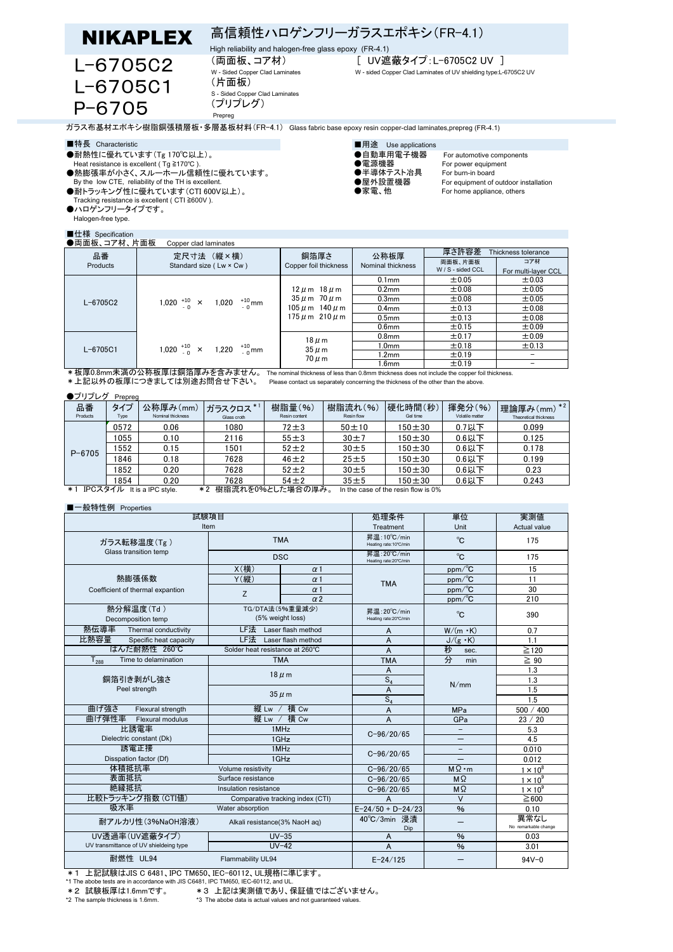**NIKAPLEX** 高信頼性ハロゲンフリーガラスエポキシ(FR-4.1)

High reliability and halogen-free glass epoxy (FR-4.1)

 L-6705C2 L-6705C1 P-6705

(片面板) S - Sided Copper Clad Laminates

(プリプレグ) Prepreg

(両面板、コア材) [ UV遮蔽タイプ:L-6705C2 UV ]

W - Sided Copper Clad Laminates W - sided Copper Clad Laminates of UV shielding type:L-6705C2 UV

ガラス布基材エポキシ樹脂銅張積層板・多層基板材料(FR-4.1) Glass fabric base epoxy resin copper-clad laminates,prepreg (FR-4.1)

- ●耐熱性に優れています(Tg 170℃以上)。 ●自動車用電子機器 For automotive components
- 
- ●熱膨張率が小さく、スルーホール信頼性に優れています。 ●半導体テスト冶具 For burn-in board By the low CTE, reliability of the TH is excellent. ●屋外設置機器 For equipment of outdoor installation
- ーラ、fiscition of Light Discussions into Substitute into Substitute into Substitute into Substitute into Substitu<br>●耐トラッキング性に優れています(CTI 600V以上)。 ●家電、他 For home appliance, others Tracking resistance is excellent ( CTI ≧600V ).
- ●ハロゲンフリータイプです。
- Halogen-free type.

## $\blacksquare$

| ■特長 Characteristic                                      | ■用途 Use applications |
|---------------------------------------------------------|----------------------|
| ●耐熱性に優れています(Tg 170℃以上)。                                 | ●自動車用電子機器            |
| Heat resistance is excellent ( $Tg \ge 170^{\circ}$ C). | ●電源機器                |
| ▲劫肢泪支がホキム フ= + = 后括性に原わていまま                             | ▲半道仕二つ↓公目            |

- 
- 
- 

Heat resistance is excellent ( Tg ≧170℃ ). ●電源機器 For power equipment<br>●半導体テスト治具 For burn-in board ●半導体テスト冶具 For burn-in board

| 品番           | 定尺寸法 (縦×横)                                   | 銅箔厚さ                                                                                                 | 公称板厚              | 厚さ許容差<br>Thickness tolerance |                            |
|--------------|----------------------------------------------|------------------------------------------------------------------------------------------------------|-------------------|------------------------------|----------------------------|
| Products     | Standard size (Lw × Cw)                      | Copper foil thickness                                                                                | Nominal thickness | 両面板、片面板<br>W / S - sided CCL | コア材<br>For multi-layer CCL |
| $L - 6705C2$ | 1,020 $^{+10}_{-0}$ × 1,020 $^{+10}_{-0}$ mm | $12 \mu m$ 18 $\mu$ m<br>$35 \mu$ m $70 \mu$ m<br>$105 \mu$ m $140 \mu$ m<br>$175 \mu m$ 210 $\mu$ m | 0.1 <sub>mm</sub> | ±0.05                        | ±0.03                      |
|              |                                              |                                                                                                      | 0.2 <sub>mm</sub> | ±0.08                        | ±0.05                      |
|              |                                              |                                                                                                      | 0.3 <sub>mm</sub> | ±0.08                        | ±0.05                      |
|              |                                              |                                                                                                      | 0.4 <sub>mm</sub> | ±0.13                        | ±0.08                      |
|              |                                              |                                                                                                      | 0.5 <sub>mm</sub> | $\pm$ 0.13                   | ±0.08                      |
|              |                                              |                                                                                                      | 0.6 <sub>mm</sub> | ±0.15                        | ±0.09                      |
| $L - 6705C1$ | 1,020 $^{+10}_{-0}$ × 1,220 $^{+10}_{-0}$ mm | $18 \mu m$<br>$35 \mu m$<br>$70 \mu m$                                                               | 0.8 <sub>mm</sub> | ±0.17                        | ±0.09                      |
|              |                                              |                                                                                                      | 1.0 <sub>mm</sub> | ±0.18                        | ±0.13                      |
|              |                                              |                                                                                                      | 1.2mm             | ±0.19                        |                            |
|              |                                              |                                                                                                      | 1.6 <sub>mm</sub> | ±0.19                        |                            |

\*上記以外の板厚につきましては別途お問合せ下さい。 Please contact us separately concerning the thickness of the other than the above.

## ●プリプレグ Prepreg

| 品番<br>Products                                                                                                                                                                                                                                                                                                            | タイプ<br>Type | 公称厚み(mm)<br>Nominal thickness | ガラスクロス *1<br>Glass croth | 樹脂量(%)<br>Resin content | 樹脂流れ(%)<br>Resin flow | 便化時間(秒)<br>Gel time | 揮発分(%)<br>Volatile matter | $x * 2$<br>理論厚み(mm)<br>Theoretical thickness |
|---------------------------------------------------------------------------------------------------------------------------------------------------------------------------------------------------------------------------------------------------------------------------------------------------------------------------|-------------|-------------------------------|--------------------------|-------------------------|-----------------------|---------------------|---------------------------|----------------------------------------------|
| $P - 6705$                                                                                                                                                                                                                                                                                                                | 0572        | 0.06                          | 1080                     | $72 \pm 3$              | $50 + 10$             | $150 + 30$          | $0.7$ 以下                  | 0.099                                        |
|                                                                                                                                                                                                                                                                                                                           | 1055        | 0.10                          | 2116                     | $55 \pm 3$              | $30 + 7$              | $150 + 30$          | $0.6$ 以下                  | 0.125                                        |
|                                                                                                                                                                                                                                                                                                                           | 1552        | 0.15                          | 1501                     | $52 + 2$                | $30 \pm 5$            | $150 + 30$          | $0.6$ 以下                  | 0.178                                        |
|                                                                                                                                                                                                                                                                                                                           | 1846        | 0.18                          | 7628                     | $46 \pm 2$              | $25 \pm 5$            | $150 + 30$          | $0.6$ 以下                  | 0.199                                        |
|                                                                                                                                                                                                                                                                                                                           | 1852        | 0.20                          | 7628                     | $52 + 2$                | $30 \pm 5$            | $150 + 30$          | $0.6$ 以下                  | 0.23                                         |
|                                                                                                                                                                                                                                                                                                                           | 1854        | 0.20                          | 7628                     | $54 + 2$                | $35 \pm 5$            | $150 + 30$          | $0.6$ 以下                  | 0.243                                        |
| 掛胆法れた00人目 た捏合の同み<br>$ID$ $\cap$ $7$ $A$ $\neq$ $II$ , $II$ <sub><math>\cap</math><math>\cap</math><math>I</math><math>\cap</math><math>\cap</math><math>I</math><math>\cap</math><math>\cap</math><math>I</math><math>\cap</math><math>\cap</math></sub><br>$\bullet$ 2<br>$+1$<br>In the case of the resin flow is $00/$ |             |                               |                          |                         |                       |                     |                           |                                              |

\*1 IPCスタイル It is a IPC style. \*2 樹脂流れを0%とした場合の厚み。 In the case of the resin flow is 0%

## ■一般特性例 Properties

| $12 - 12 = 12 - 12 = 12$<br>試験項目                |                                     |                                  | 処理条件                                   | 単位                         | 実測値                          |
|-------------------------------------------------|-------------------------------------|----------------------------------|----------------------------------------|----------------------------|------------------------------|
| Item                                            | Treatment                           | Unit                             | Actual value                           |                            |                              |
| ガラス転移温度(Tg)                                     | <b>TMA</b>                          |                                  | 昇温: 10°C/min<br>Heating rate: 10°C/min | $^{\circ}$ C               | 175                          |
| Glass transition temp                           | <b>DSC</b>                          |                                  | 昇温: 20°C/min<br>Heating rate: 20°C/min | $^{\circ}$ C               | 175                          |
|                                                 | X(横)<br>$\alpha$ 1                  |                                  |                                        | $ppm$ <sup>o</sup> C       | 15                           |
| 熱膨張係数                                           | Y(縦)                                | $\alpha$ 1                       | <b>TMA</b>                             | $ppm\text{/}^{\circ}C$     | 11                           |
| Coefficient of thermal expantion                | Z                                   | $\alpha$ 1                       |                                        | $ppm\text{/}^{\circ}C$     | 30                           |
|                                                 |                                     | $\alpha$ 2                       |                                        | $ppm/\mathrm{^{\circ}\!C}$ | 210                          |
| 熱分解温度(Td)<br>Decomposition temp                 | TG/DTA法(5%重量减少)<br>(5% weight loss) |                                  | 昇温: 20°C/min<br>Heating rate: 20°C/min | °C                         | 390                          |
| 熱伝導率<br>Thermal conductivity                    |                                     | $LF 1.2$ Laser flash method      | A                                      | $W/(m \cdot K)$            | 0.7                          |
| 比熱容量<br>Specific heat capacity                  |                                     | LF法 Laser flash method           | A                                      | $J/(g \cdot K)$            | 1.1                          |
| はんだ耐熱性 260℃                                     | Solder heat resistance at 260°C     |                                  | $\overline{A}$                         | 秒<br>sec.                  | $\geq$ 120                   |
| <b>TMA</b><br>$T_{288}$<br>Time to delamination |                                     |                                  | <b>TMA</b>                             | 分<br>min                   | $\geq 90$                    |
|                                                 | $18 \mu m$<br>$35 \mu m$            |                                  | A                                      |                            | 1.3                          |
| 銅箔引き剥がし強さ                                       |                                     |                                  | $S_4$                                  | N/mm                       | 1.3                          |
| Peel strength                                   |                                     |                                  | A                                      |                            | 1.5                          |
|                                                 |                                     |                                  | $S_4$                                  |                            | 1.5                          |
| 曲げ強さ<br>Flexural strength                       | 縦 Lw / 横 Cw                         |                                  | A                                      | <b>MPa</b>                 | 500 / 400                    |
| 曲げ弾性率<br>Flexural modulus                       | 縦 Lw /                              | 横 Cw                             | A                                      | GPa                        | 23 / 20                      |
| 比誘電率                                            | 1MHz<br>1GHz                        |                                  | $C - 96 / 20 / 65$                     |                            | 5.3                          |
| Dielectric constant (Dk)                        |                                     |                                  |                                        |                            | 4.5                          |
| 誘電正接                                            | 1MHz                                |                                  | $C - 96/20/65$                         |                            | 0.010                        |
| Disspation factor (Df)                          | 1GHz                                |                                  |                                        |                            | 0.012                        |
| 体積抵抗率                                           | Volume resistivity                  |                                  | $C - 96 / 20 / 65$                     | $M\Omega \cdot m$          | $1 \times 10^8$              |
| 表面抵抗                                            | Surface resistance                  |                                  | $C - 96 / 20 / 65$                     | MΩ                         | $1 \times 10^9$              |
| 絶縁抵抗                                            | Insulation resistance               |                                  | $C - 96/20/65$                         | $M\Omega$                  | $1 \times 10^9$              |
| 比較トラッキング指数 (CTI値)                               |                                     | Comparative tracking index (CTI) | A                                      | $\vee$                     | $\geq 600$                   |
| 吸水率                                             | Water absorption                    |                                  | $E - 24/50 + D - 24/23$                | $\frac{9}{6}$              | 0.10                         |
| 耐アルカリ性 (3%NaOH溶液)                               | Alkali resistance(3% NaoH aq)       |                                  | 40°C/3min 浸清<br>Dip                    |                            | 異常なし<br>No remarkable change |
| UV透過率(UV遮蔽タイプ)                                  | $UV-35$                             |                                  | A                                      | $\%$                       | 0.03                         |
| UV transmittance of UV shieldeing type          |                                     | $UV-42$                          | A                                      | $\frac{9}{6}$              | 3.01                         |
| 耐燃性 UL94                                        | Flammability UL94                   |                                  | $E - 24/125$                           |                            | $94V - 0$                    |

\*1 上記試験はJIS C 6481、IPC TM650、IEC-60112、UL規格に準じます。

\*1 The abobe tests are in accordance with JIS C6481, IPC TM650, IEC-60112, and UL.

\*2 試験板厚は1.6mmです。 \*3 上記は実測値であり、保証値ではございません。 \*3. The abobe data is actual values and not guaranteed values.